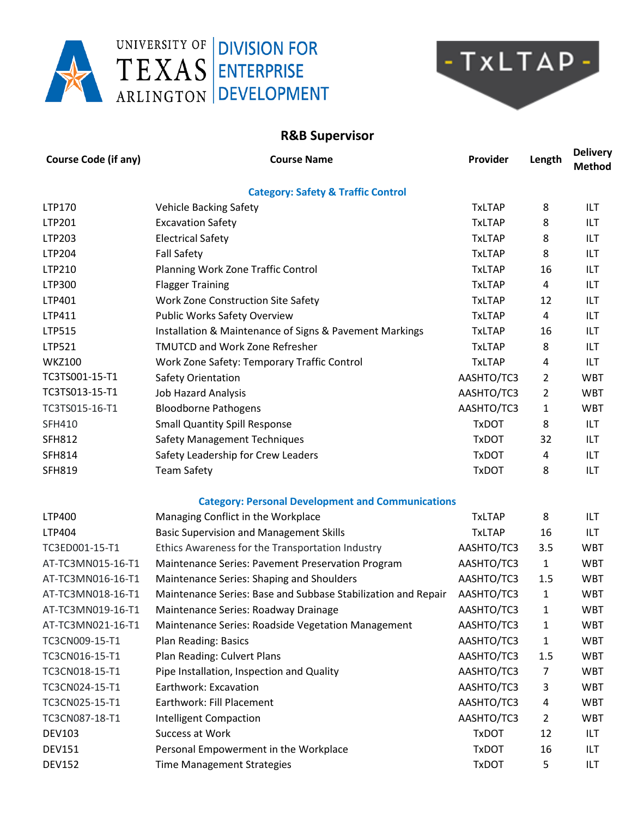



## **R&B Supervisor**

| <b>Course Code (if any)</b> | <b>Course Name</b>                                            | Provider      | Length         | <b>Delivery</b><br><b>Method</b> |
|-----------------------------|---------------------------------------------------------------|---------------|----------------|----------------------------------|
|                             | <b>Category: Safety &amp; Traffic Control</b>                 |               |                |                                  |
| LTP170                      | <b>Vehicle Backing Safety</b>                                 | <b>TxLTAP</b> | 8              | ILT                              |
| LTP201                      | <b>Excavation Safety</b>                                      | <b>TxLTAP</b> | 8              | ILT                              |
| LTP203                      | <b>Electrical Safety</b>                                      | <b>TxLTAP</b> | 8              | ILT                              |
| LTP204                      | <b>Fall Safety</b>                                            | <b>TxLTAP</b> | 8              | ILT                              |
| LTP210                      | Planning Work Zone Traffic Control                            | <b>TxLTAP</b> | 16             | ILT                              |
| LTP300                      | <b>Flagger Training</b>                                       | <b>TxLTAP</b> | 4              | ILT                              |
| LTP401                      | Work Zone Construction Site Safety                            | <b>TxLTAP</b> | 12             | ILT                              |
| LTP411                      | Public Works Safety Overview                                  | <b>TxLTAP</b> | 4              | ILT                              |
| LTP515                      | Installation & Maintenance of Signs & Pavement Markings       | <b>TxLTAP</b> | 16             | ILT                              |
| LTP521                      | <b>TMUTCD and Work Zone Refresher</b>                         | <b>TxLTAP</b> | 8              | ILT                              |
| <b>WKZ100</b>               | Work Zone Safety: Temporary Traffic Control                   | <b>TxLTAP</b> | 4              | ILT                              |
| TC3TS001-15-T1              | Safety Orientation                                            | AASHTO/TC3    | 2              | <b>WBT</b>                       |
| TC3TS013-15-T1              | <b>Job Hazard Analysis</b>                                    | AASHTO/TC3    | 2              | <b>WBT</b>                       |
| TC3TS015-16-T1              | <b>Bloodborne Pathogens</b>                                   | AASHTO/TC3    | 1              | <b>WBT</b>                       |
| SFH410                      | <b>Small Quantity Spill Response</b>                          | <b>TxDOT</b>  | 8              | ILT                              |
| <b>SFH812</b>               | <b>Safety Management Techniques</b>                           | <b>TxDOT</b>  | 32             | ILT                              |
| <b>SFH814</b>               | Safety Leadership for Crew Leaders                            | <b>TxDOT</b>  | 4              | ILT                              |
| <b>SFH819</b>               | <b>Team Safety</b>                                            | <b>TxDOT</b>  | 8              | ILT                              |
|                             | <b>Category: Personal Development and Communications</b>      |               |                |                                  |
| LTP400                      | Managing Conflict in the Workplace                            | <b>TxLTAP</b> | 8              | ILT                              |
| LTP404                      | <b>Basic Supervision and Management Skills</b>                | <b>TxLTAP</b> | 16             | ILT                              |
| TC3ED001-15-T1              | Ethics Awareness for the Transportation Industry              | AASHTO/TC3    | 3.5            | <b>WBT</b>                       |
| AT-TC3MN015-16-T1           | Maintenance Series: Pavement Preservation Program             | AASHTO/TC3    | $\mathbf{1}$   | <b>WBT</b>                       |
| AT-TC3MN016-16-T1           | Maintenance Series: Shaping and Shoulders                     | AASHTO/TC3    | 1.5            | <b>WBT</b>                       |
| AT-TC3MN018-16-T1           | Maintenance Series: Base and Subbase Stabilization and Repair | AASHTO/TC3    | 1              | <b>WBT</b>                       |
| AT-TC3MN019-16-T1           | Maintenance Series: Roadway Drainage                          | AASHTO/TC3    | 1              | <b>WBT</b>                       |
| AT-TC3MN021-16-T1           | Maintenance Series: Roadside Vegetation Management            | AASHTO/TC3    | 1              | <b>WBT</b>                       |
| TC3CN009-15-T1              | Plan Reading: Basics                                          | AASHTO/TC3    | 1              | <b>WBT</b>                       |
| TC3CN016-15-T1              | Plan Reading: Culvert Plans                                   | AASHTO/TC3    | 1.5            | <b>WBT</b>                       |
| TC3CN018-15-T1              | Pipe Installation, Inspection and Quality                     | AASHTO/TC3    | 7              | <b>WBT</b>                       |
| TC3CN024-15-T1              | Earthwork: Excavation                                         | AASHTO/TC3    | 3              | <b>WBT</b>                       |
| TC3CN025-15-T1              | Earthwork: Fill Placement                                     | AASHTO/TC3    | 4              | <b>WBT</b>                       |
| TC3CN087-18-T1              | <b>Intelligent Compaction</b>                                 | AASHTO/TC3    | $\overline{2}$ | <b>WBT</b>                       |
| <b>DEV103</b>               | Success at Work                                               | <b>TxDOT</b>  | 12             | ILT                              |
| <b>DEV151</b>               | Personal Empowerment in the Workplace                         | <b>TxDOT</b>  | 16             | ILT                              |
| <b>DEV152</b>               | <b>Time Management Strategies</b>                             | <b>TxDOT</b>  | 5              | ILT                              |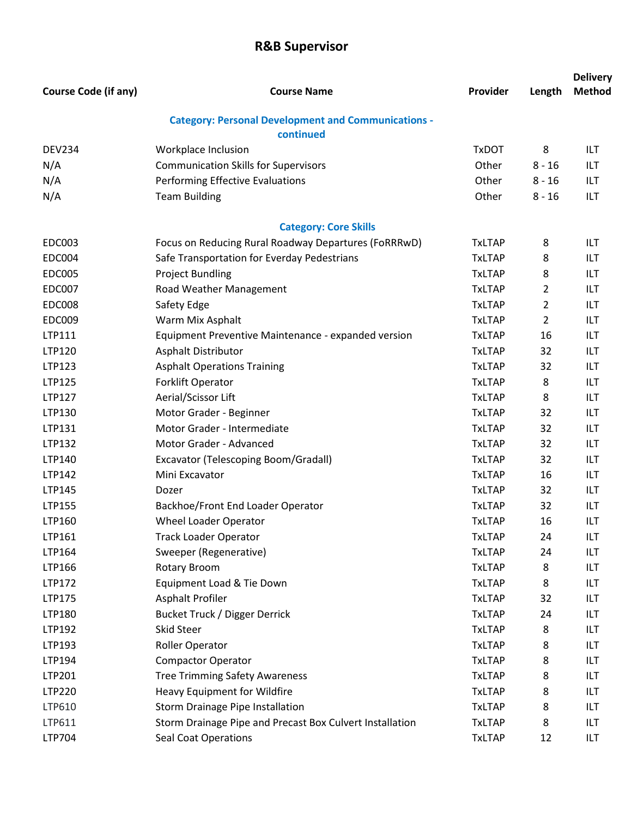## **R&B Supervisor**

|                             |                                                                         |               |                | <b>Delivery</b> |
|-----------------------------|-------------------------------------------------------------------------|---------------|----------------|-----------------|
| <b>Course Code (if any)</b> | <b>Course Name</b>                                                      | Provider      | Length         | <b>Method</b>   |
|                             | <b>Category: Personal Development and Communications -</b><br>continued |               |                |                 |
| <b>DEV234</b>               | Workplace Inclusion                                                     | <b>TxDOT</b>  | 8              | ILT             |
| N/A                         | <b>Communication Skills for Supervisors</b>                             | Other         | $8 - 16$       | ILT             |
| N/A                         | <b>Performing Effective Evaluations</b>                                 | Other         | $8 - 16$       | ILT             |
| N/A                         | <b>Team Building</b>                                                    | Other         | $8 - 16$       | ILT             |
|                             | <b>Category: Core Skills</b>                                            |               |                |                 |
| <b>EDC003</b>               | Focus on Reducing Rural Roadway Departures (FoRRRwD)                    | <b>TxLTAP</b> | 8              | ILT             |
| <b>EDC004</b>               | Safe Transportation for Everday Pedestrians                             | <b>TxLTAP</b> | 8              | ILT             |
| <b>EDC005</b>               | <b>Project Bundling</b>                                                 | <b>TxLTAP</b> | 8              | ILT             |
| <b>EDC007</b>               | Road Weather Management                                                 | <b>TxLTAP</b> | $\overline{2}$ | ILT             |
| <b>EDC008</b>               | Safety Edge                                                             | <b>TxLTAP</b> | $\overline{2}$ | ILT             |
| <b>EDC009</b>               | Warm Mix Asphalt                                                        | <b>TxLTAP</b> | $\overline{2}$ | ILT             |
| LTP111                      | Equipment Preventive Maintenance - expanded version                     | <b>TxLTAP</b> | 16             | ILT             |
| LTP120                      | Asphalt Distributor                                                     | <b>TxLTAP</b> | 32             | ILT             |
| LTP123                      | <b>Asphalt Operations Training</b>                                      | <b>TxLTAP</b> | 32             | ILT             |
| LTP125                      | Forklift Operator                                                       | <b>TxLTAP</b> | 8              | ILT             |
| <b>LTP127</b>               | Aerial/Scissor Lift                                                     | <b>TxLTAP</b> | 8              | ILT             |
| LTP130                      | Motor Grader - Beginner                                                 | <b>TxLTAP</b> | 32             | ILT             |
| LTP131                      | Motor Grader - Intermediate                                             | <b>TxLTAP</b> | 32             | ILT             |
| LTP132                      | Motor Grader - Advanced                                                 | <b>TxLTAP</b> | 32             | ILT             |
| LTP140                      | Excavator (Telescoping Boom/Gradall)                                    | <b>TxLTAP</b> | 32             | ILT             |
| LTP142                      | Mini Excavator                                                          | <b>TxLTAP</b> | 16             | ILT             |
| LTP145                      | Dozer                                                                   | <b>TxLTAP</b> | 32             | ILT             |
| LTP155                      | Backhoe/Front End Loader Operator                                       | <b>TxLTAP</b> | 32             | ILT             |
| LTP160                      | Wheel Loader Operator                                                   | <b>TxLTAP</b> | 16             | ILT             |
| LTP161                      | <b>Track Loader Operator</b>                                            | <b>TxLTAP</b> | 24             | ILT             |
| LTP164                      | Sweeper (Regenerative)                                                  | <b>TxLTAP</b> | 24             | ILT             |
| LTP166                      | <b>Rotary Broom</b>                                                     | <b>TxLTAP</b> | 8              | ILT             |
| LTP172                      | Equipment Load & Tie Down                                               | <b>TxLTAP</b> | 8              | ILT             |
| LTP175                      | Asphalt Profiler                                                        | <b>TxLTAP</b> | 32             | ILT             |
| LTP180                      | Bucket Truck / Digger Derrick                                           | <b>TxLTAP</b> | 24             | ILT             |
| LTP192                      | <b>Skid Steer</b>                                                       | <b>TxLTAP</b> | 8              | ILT             |
| LTP193                      | Roller Operator                                                         | <b>TxLTAP</b> | 8              | ILT             |
| LTP194                      | <b>Compactor Operator</b>                                               | <b>TxLTAP</b> | 8              | ILT             |
| LTP201                      | <b>Tree Trimming Safety Awareness</b>                                   | <b>TxLTAP</b> | 8              | ILT             |
| <b>LTP220</b>               | Heavy Equipment for Wildfire                                            | <b>TxLTAP</b> | 8              | ILT             |
| LTP610                      | Storm Drainage Pipe Installation                                        | <b>TxLTAP</b> | 8              | ILT             |
| LTP611                      | Storm Drainage Pipe and Precast Box Culvert Installation                | <b>TxLTAP</b> | 8              | ILT             |
| LTP704                      | <b>Seal Coat Operations</b>                                             | <b>TxLTAP</b> | 12             | ILT             |